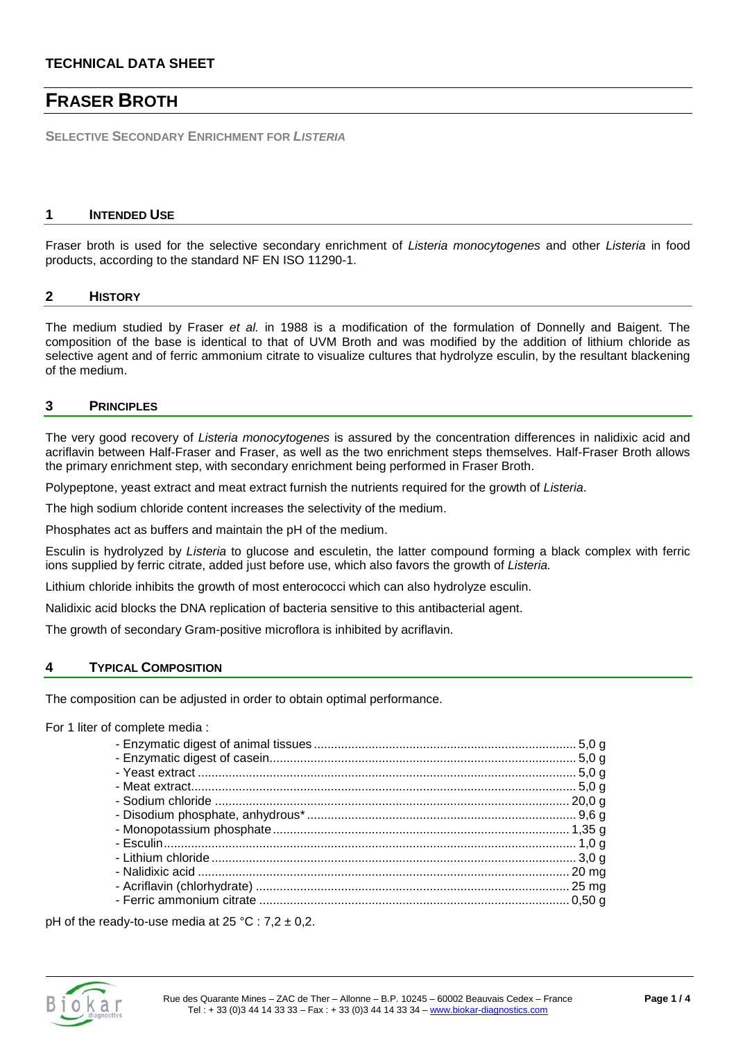# **FRASER BROTH**

**SELECTIVE SECONDARY ENRICHMENT FOR** *LISTERIA* 

#### **1 INTENDED USE**

Fraser broth is used for the selective secondary enrichment of *Listeria monocytogenes* and other *Listeria* in food products, according to the standard NF EN ISO 11290-1.

#### **2 HISTORY**

The medium studied by Fraser *et al.* in 1988 is a modification of the formulation of Donnelly and Baigent. The composition of the base is identical to that of UVM Broth and was modified by the addition of lithium chloride as selective agent and of ferric ammonium citrate to visualize cultures that hydrolyze esculin, by the resultant blackening of the medium.

### **3 PRINCIPLES**

The very good recovery of *Listeria monocytogenes* is assured by the concentration differences in nalidixic acid and acriflavin between Half-Fraser and Fraser, as well as the two enrichment steps themselves. Half-Fraser Broth allows the primary enrichment step, with secondary enrichment being performed in Fraser Broth.

Polypeptone, yeast extract and meat extract furnish the nutrients required for the growth of *Listeria*.

The high sodium chloride content increases the selectivity of the medium.

Phosphates act as buffers and maintain the pH of the medium.

Esculin is hydrolyzed by *Listeria* to glucose and esculetin, the latter compound forming a black complex with ferric ions supplied by ferric citrate, added just before use, which also favors the growth of *Listeria.*

Lithium chloride inhibits the growth of most enterococci which can also hydrolyze esculin.

Nalidixic acid blocks the DNA replication of bacteria sensitive to this antibacterial agent.

The growth of secondary Gram-positive microflora is inhibited by acriflavin.

### **4 TYPICAL COMPOSITION**

The composition can be adjusted in order to obtain optimal performance.

For 1 liter of complete media :

pH of the ready-to-use media at  $25 \text{ °C}$  :  $7,2 \pm 0,2$ .

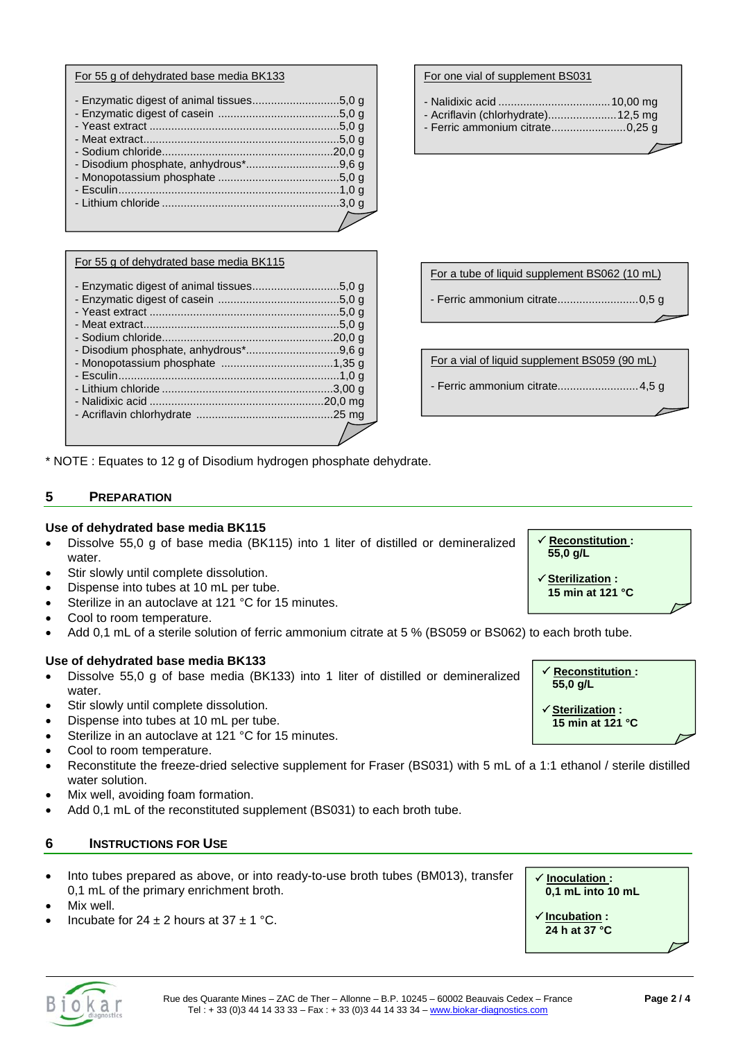|  | For 55 g of dehydrated base media BK133 |  |  |
|--|-----------------------------------------|--|--|
|  |                                         |  |  |

#### For 55 g of dehydrated base media BK115

\* NOTE : Equates to 12 g of Disodium hydrogen phosphate dehydrate.

# **5 PREPARATION**

### **Use of dehydrated base media BK115**

- Dissolve 55,0 g of base media (BK115) into 1 liter of distilled or demineralized water.
- Stir slowly until complete dissolution.
- Dispense into tubes at 10 mL per tube.
- Sterilize in an autoclave at 121 °C for 15 minutes.
- Cool to room temperature.
- Add 0,1 mL of a sterile solution of ferric ammonium citrate at 5 % (BS059 or BS062) to each broth tube.

### **Use of dehydrated base media BK133**

- Dissolve 55,0 g of base media (BK133) into 1 liter of distilled or demineralized water.
- Stir slowly until complete dissolution.
- Dispense into tubes at 10 mL per tube.
- Sterilize in an autoclave at 121 °C for 15 minutes.
- Cool to room temperature.
- Reconstitute the freeze-dried selective supplement for Fraser (BS031) with 5 mL of a 1:1 ethanol / sterile distilled water solution.
- Mix well, avoiding foam formation.
- Add 0.1 mL of the reconstituted supplement (BS031) to each broth tube.

### **6 INSTRUCTIONS FOR USE**

- Into tubes prepared as above, or into ready-to-use broth tubes (BM013), transfer 0,1 mL of the primary enrichment broth.
- Mix well.
- Incubate for  $24 + 2$  hours at  $37 + 1$  °C.

#### For one vial of supplement BS031

- Nalidixic acid ....................................10,00 mg - Acriflavin (chlorhydrate)......................12,5 mg
- Ferric ammonium citrate........................0,25 g

| For a tube of liquid supplement BS062 (10 mL) |
|-----------------------------------------------|
|                                               |
|                                               |

| For a vial of liquid supplement BS059 (90 mL) |  |
|-----------------------------------------------|--|
|                                               |  |

- Ferric ammonium citrate..........................4,5 g

 **Reconstitution : 55,0 g/L**

 **Reconstitution : 55,0 g/L**

 **Sterilization : 15 min at 121 °C** 

 **Sterilization : 15 min at 121 °C** 

 **Inoculation : 0,1 mL into 10 mL** 

 **Incubation : 24 h at 37 °C**

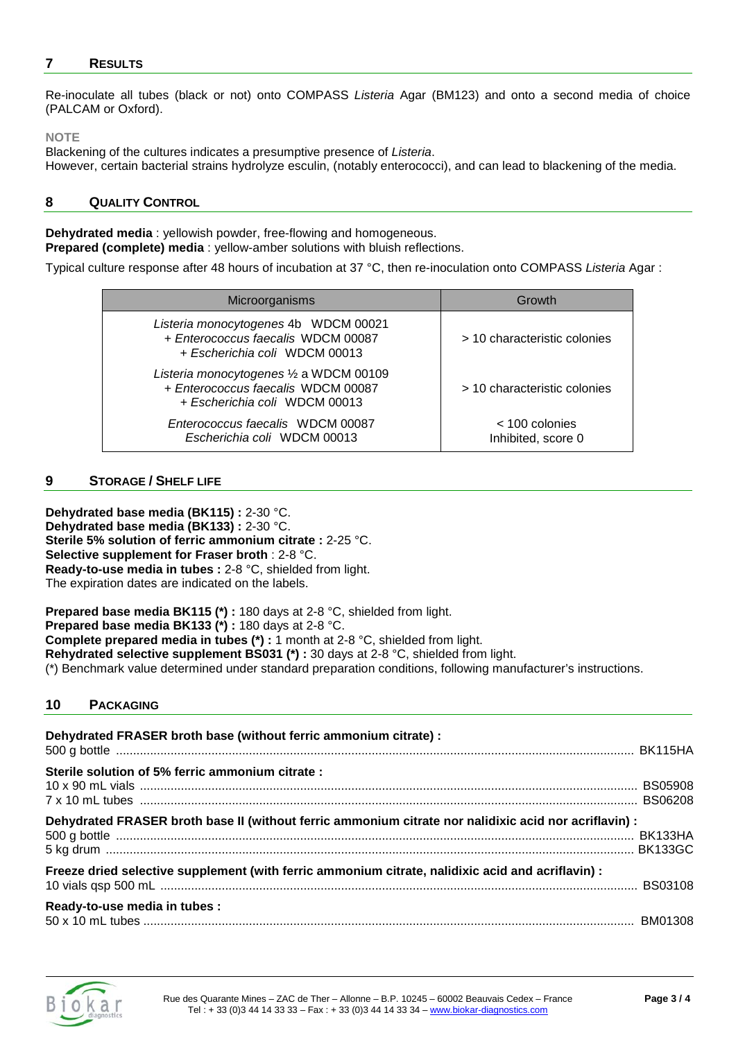# **7 RESULTS**

Re-inoculate all tubes (black or not) onto COMPASS *Listeria* Agar (BM123) and onto a second media of choice (PALCAM or Oxford).

#### **NOTE**

Blackening of the cultures indicates a presumptive presence of *Listeria*. However, certain bacterial strains hydrolyze esculin, (notably enterococci), and can lead to blackening of the media.

# **8 QUALITY CONTROL**

**Dehydrated media** : yellowish powder, free-flowing and homogeneous. **Prepared (complete) media** : yellow-amber solutions with bluish reflections.

Typical culture response after 48 hours of incubation at 37 °C, then re-inoculation onto COMPASS *Listeria* Agar :

| Microorganisms                                                                                                 | <b>Growth</b>                          |
|----------------------------------------------------------------------------------------------------------------|----------------------------------------|
| Listeria monocytogenes 4b WDCM 00021<br>+ Enterococcus faecalis WDCM 00087<br>+ Escherichia coli WDCM 00013    | > 10 characteristic colonies           |
| Listeria monocytogenes 1/2 a WDCM 00109<br>+ Enterococcus faecalis WDCM 00087<br>+ Escherichia coli WDCM 00013 | > 10 characteristic colonies           |
| Enterococcus faecalis WDCM 00087<br>Escherichia coli WDCM 00013                                                | $<$ 100 colonies<br>Inhibited, score 0 |

## **9 STORAGE / SHELF LIFE**

**Dehydrated base media (BK115) :** 2-30 °C. **Dehydrated base media (BK133) :** 2-30 °C. **Sterile 5% solution of ferric ammonium citrate :** 2-25 °C. **Selective supplement for Fraser broth** : 2-8 °C. **Ready-to-use media in tubes :** 2-8 °C, shielded from light. The expiration dates are indicated on the labels.

**Prepared base media BK115 (\*) :** 180 days at 2-8 °C, shielded from light. **Prepared base media BK133 (\*) :** 180 days at 2-8 °C. **Complete prepared media in tubes (\*) :** 1 month at 2-8 °C, shielded from light. **Rehydrated selective supplement BS031 (\*) :** 30 days at 2-8 °C, shielded from light. (\*) Benchmark value determined under standard preparation conditions, following manufacturer's instructions.

# **10 PACKAGING**

| Dehydrated FRASER broth base (without ferric ammonium citrate) :                                      |  |
|-------------------------------------------------------------------------------------------------------|--|
| Sterile solution of 5% ferric ammonium citrate :                                                      |  |
| Dehydrated FRASER broth base II (without ferric ammonium citrate nor nalidixic acid nor acriflavin) : |  |
| Freeze dried selective supplement (with ferric ammonium citrate, nalidixic acid and acriflavin) :     |  |
| Ready-to-use media in tubes :                                                                         |  |